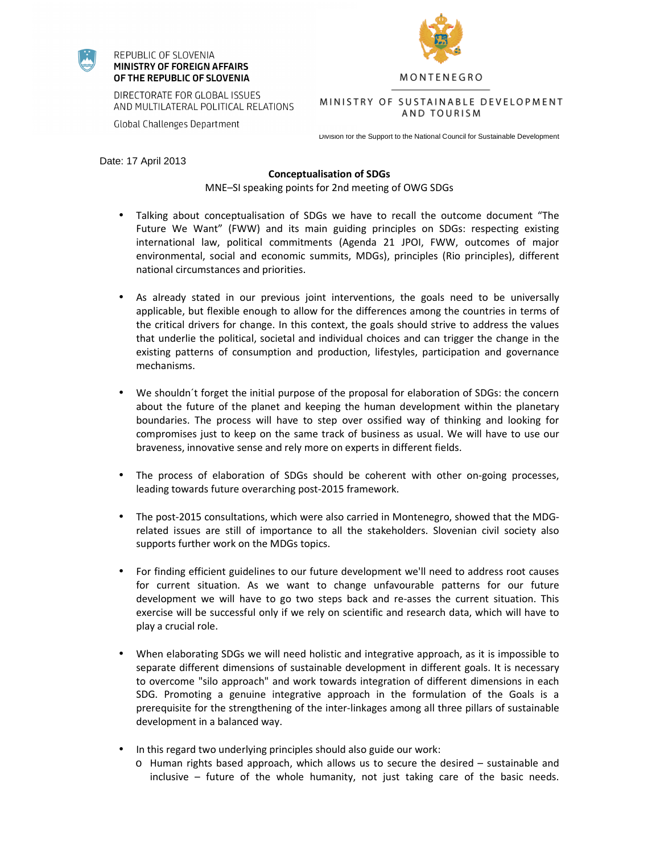

## REPUBLIC OF SLOVENIA MINISTRY OF FOREIGN AFFAIRS OF THE REPUBLIC OF SLOVENIA

**Global Challenges Department** 



MONTENEGRO

DIRECTORATE FOR GLOBAL ISSUES AND MULTILATERAL POLITICAL RELATIONS

AND TOURISM

Division for the Support to the National Council for Sustainable Development

Date: 17 April 2013

## **Conceptualisation of SDGs**

MNE–SI speaking points for 2nd meeting of OWG SDGs

- Talking about conceptualisation of SDGs we have to recall the outcome document "The Future We Want" (FWW) and its main guiding principles on SDGs: respecting existing international law, political commitments (Agenda 21 JPOI, FWW, outcomes of major environmental, social and economic summits, MDGs), principles (Rio principles), different national circumstances and priorities.
- As already stated in our previous joint interventions, the goals need to be universally applicable, but flexible enough to allow for the differences among the countries in terms of the critical drivers for change. In this context, the goals should strive to address the values that underlie the political, societal and individual choices and can trigger the change in the existing patterns of consumption and production, lifestyles, participation and governance mechanisms.
- We shouldn´t forget the initial purpose of the proposal for elaboration of SDGs: the concern about the future of the planet and keeping the human development within the planetary boundaries. The process will have to step over ossified way of thinking and looking for compromises just to keep on the same track of business as usual. We will have to use our braveness, innovative sense and rely more on experts in different fields.
- The process of elaboration of SDGs should be coherent with other on-going processes, leading towards future overarching post-2015 framework.
- The post-2015 consultations, which were also carried in Montenegro, showed that the MDGrelated issues are still of importance to all the stakeholders. Slovenian civil society also supports further work on the MDGs topics.
- For finding efficient guidelines to our future development we'll need to address root causes for current situation. As we want to change unfavourable patterns for our future development we will have to go two steps back and re-asses the current situation. This exercise will be successful only if we rely on scientific and research data, which will have to play a crucial role.
- When elaborating SDGs we will need holistic and integrative approach, as it is impossible to separate different dimensions of sustainable development in different goals. It is necessary to overcome "silo approach" and work towards integration of different dimensions in each SDG. Promoting a genuine integrative approach in the formulation of the Goals is a prerequisite for the strengthening of the inter-linkages among all three pillars of sustainable development in a balanced way.
- In this regard two underlying principles should also guide our work:
	- o Human rights based approach, which allows us to secure the desired sustainable and inclusive – future of the whole humanity, not just taking care of the basic needs.